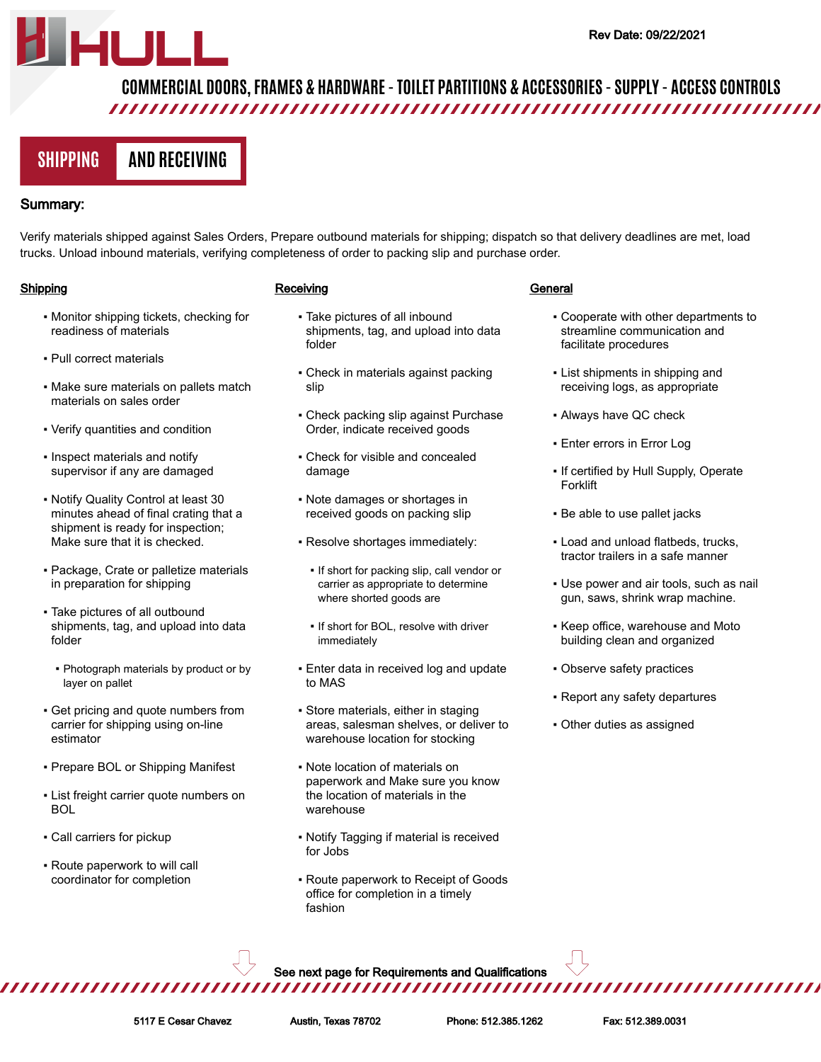# **COMMERCIAL DOORS, FRAMES & HARDWARE - TOILET PARTITIONS & ACCESSORIES - SUPPLY - ACCESS CONTROLS**

# **SHIPPING AND RECEIVING**

# Summary:

Verify materials shipped against Sales Orders, Prepare outbound materials for shipping; dispatch so that delivery deadlines are met, load trucks. Unload inbound materials, verifying completeness of order to packing slip and purchase order.

## **Shipping**

- Monitor shipping tickets, checking for readiness of materials
- Pull correct materials
- Make sure materials on pallets match materials on sales order
- Verify quantities and condition
- Inspect materials and notify supervisor if any are damaged
- Notify Quality Control at least 30 minutes ahead of final crating that a shipment is ready for inspection; Make sure that it is checked.
- Package, Crate or palletize materials in preparation for shipping
- Take pictures of all outbound shipments, tag, and upload into data folder
	- Photograph materials by product or by layer on pallet
- **Get pricing and quote numbers from** carrier for shipping using on-line estimator
- Prepare BOL or Shipping Manifest
- **.** List freight carrier quote numbers on BOL
- Call carriers for pickup
- Route paperwork to will call coordinator for completion

## **Receiving**

- Take pictures of all inbound shipments, tag, and upload into data folder
- **Check in materials against packing** slip
- **Check packing slip against Purchase** Order, indicate received goods
- Check for visible and concealed damage
- Note damages or shortages in received goods on packing slip
- Resolve shortages immediately:
	- If short for packing slip, call vendor or carrier as appropriate to determine where shorted goods are
	- **.** If short for BOL, resolve with driver immediately
- Enter data in received log and update to MAS
- Store materials, either in staging areas, salesman shelves, or deliver to warehouse location for stocking
- Note location of materials on paperwork and Make sure you know the location of materials in the warehouse
- Notify Tagging if material is received for Jobs
- Route paperwork to Receipt of Goods office for completion in a timely fashion

#### **General**

- Cooperate with other departments to streamline communication and facilitate procedures
- List shipments in shipping and receiving logs, as appropriate
- Always have QC check
- **Enter errors in Error Log**
- If certified by Hull Supply, Operate Forklift
- Be able to use pallet jacks
- Load and unload flatbeds, trucks, tractor trailers in a safe manner
- Use power and air tools, such as nail gun, saws, shrink wrap machine.
- Keep office, warehouse and Moto building clean and organized
- Observe safety practices
- Report any safety departures
- Other duties as assigned

See next page for Requirements and Qualifications